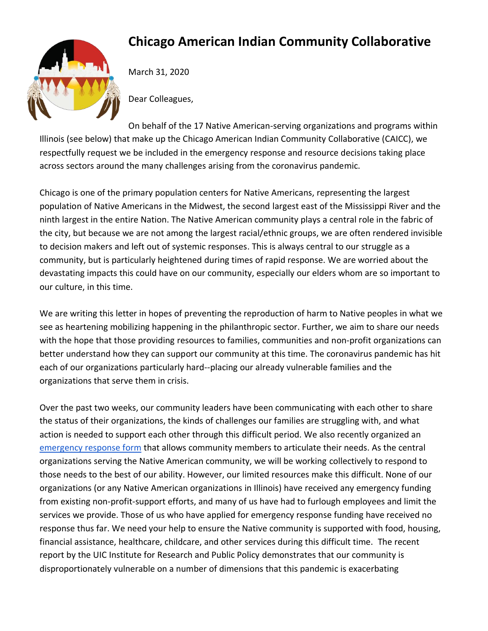## **Chicago American Indian Community Collaborative**



March 31, 2020

Dear Colleagues,

On behalf of the 17 Native American-serving organizations and programs within Illinois (see below) that make up the Chicago American Indian Community Collaborative (CAICC), we respectfully request we be included in the emergency response and resource decisions taking place across sectors around the many challenges arising from the coronavirus pandemic.

Chicago is one of the primary population centers for Native Americans, representing the largest population of Native Americans in the Midwest, the second largest east of the Mississippi River and the ninth largest in the entire Nation. The Native American community plays a central role in the fabric of the city, but because we are not among the largest racial/ethnic groups, we are often rendered invisible to decision makers and left out of systemic responses. This is always central to our struggle as a community, but is particularly heightened during times of rapid response. We are worried about the devastating impacts this could have on our community, especially our elders whom are so important to our culture, in this time.

We are writing this letter in hopes of preventing the reproduction of harm to Native peoples in what we see as heartening mobilizing happening in the philanthropic sector. Further, we aim to share our needs with the hope that those providing resources to families, communities and non-profit organizations can better understand how they can support our community at this time. The coronavirus pandemic has hit each of our organizations particularly hard--placing our already vulnerable families and the organizations that serve them in crisis.

Over the past two weeks, our community leaders have been communicating with each other to share the status of their organizations, the kinds of challenges our families are struggling with, and what action is needed to support each other through this difficult period. We also recently organized an [emergency response form](https://docs.google.com/forms/d/e/1FAIpQLSeIGXa4tCmW8O-26GCFpuR1sTXTNg1xhyOIRbGgVcPwokQ-Cg/viewform) that allows community members to articulate their needs. As the central organizations serving the Native American community, we will be working collectively to respond to those needs to the best of our ability. However, our limited resources make this difficult. None of our organizations (or any Native American organizations in Illinois) have received any emergency funding from existing non-profit-support efforts, and many of us have had to furlough employees and limit the services we provide. Those of us who have applied for emergency response funding have received no response thus far. We need your help to ensure the Native community is supported with food, housing, financial assistance, healthcare, childcare, and other services during this difficult time. The recent report by the UIC Institute for Research and Public Policy demonstrates that our community is disproportionately vulnerable on a number of dimensions that this pandemic is exacerbating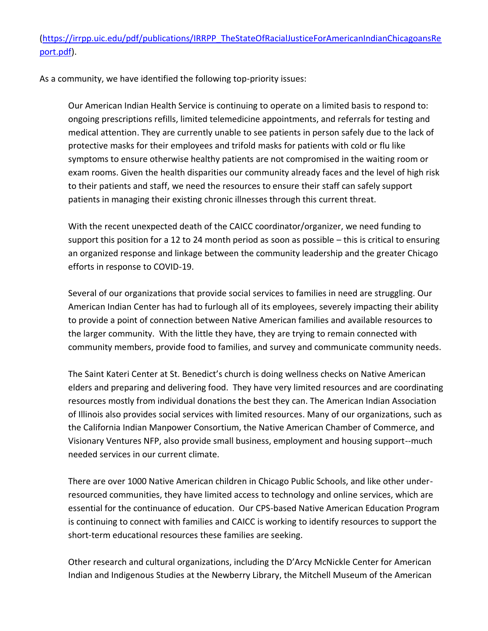[\(https://irrpp.uic.edu/pdf/publications/IRRPP\\_TheStateOfRacialJusticeForAmericanIndianChicagoansRe](https://irrpp.uic.edu/pdf/publications/IRRPP_TheStateOfRacialJusticeForAmericanIndianChicagoansReport.pdf) [port.pdf\)](https://irrpp.uic.edu/pdf/publications/IRRPP_TheStateOfRacialJusticeForAmericanIndianChicagoansReport.pdf).

As a community, we have identified the following top-priority issues:

Our American Indian Health Service is continuing to operate on a limited basis to respond to: ongoing prescriptions refills, limited telemedicine appointments, and referrals for testing and medical attention. They are currently unable to see patients in person safely due to the lack of protective masks for their employees and trifold masks for patients with cold or flu like symptoms to ensure otherwise healthy patients are not compromised in the waiting room or exam rooms. Given the health disparities our community already faces and the level of high risk to their patients and staff, we need the resources to ensure their staff can safely support patients in managing their existing chronic illnesses through this current threat.

With the recent unexpected death of the CAICC coordinator/organizer, we need funding to support this position for a 12 to 24 month period as soon as possible – this is critical to ensuring an organized response and linkage between the community leadership and the greater Chicago efforts in response to COVID-19.

Several of our organizations that provide social services to families in need are struggling. Our American Indian Center has had to furlough all of its employees, severely impacting their ability to provide a point of connection between Native American families and available resources to the larger community. With the little they have, they are trying to remain connected with community members, provide food to families, and survey and communicate community needs.

The Saint Kateri Center at St. Benedict's church is doing wellness checks on Native American elders and preparing and delivering food. They have very limited resources and are coordinating resources mostly from individual donations the best they can. The American Indian Association of Illinois also provides social services with limited resources. Many of our organizations, such as the California Indian Manpower Consortium, the Native American Chamber of Commerce, and Visionary Ventures NFP, also provide small business, employment and housing support--much needed services in our current climate.

There are over 1000 Native American children in Chicago Public Schools, and like other underresourced communities, they have limited access to technology and online services, which are essential for the continuance of education. Our CPS-based Native American Education Program is continuing to connect with families and CAICC is working to identify resources to support the short-term educational resources these families are seeking.

Other research and cultural organizations, including the D'Arcy McNickle Center for American Indian and Indigenous Studies at the Newberry Library, the Mitchell Museum of the American